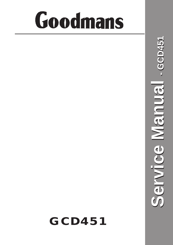## Goodmans

## **GCD451**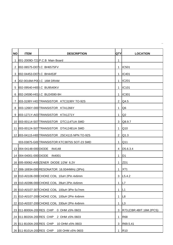| <b>NO</b> | <b>ITEM</b>               | <b>DESCRIPTION</b>                             | QTY            | <b>LOCATION</b>         |
|-----------|---------------------------|------------------------------------------------|----------------|-------------------------|
| 1.        |                           | 001-2009D-721 P.C.B Main Board                 | 1              |                         |
| 2         |                           | 002-06575-D07I.C BH6575FV                      | 1              | <b>IC501</b>            |
| 3         | 002-04453-D07I.C BH4453F  |                                                | 1              | <b>IC401</b>            |
| 4         |                           | 002-0016M-P00I.C 16M DRAM                      | 1              | <b>IC201</b>            |
| 5         |                           | 002-09540-H00I.C BU9540KV                      | 1              | <b>IC101</b>            |
| 6         |                           | 002-24590-H01 I.C BU24590-9H                   | 1              | <b>IC301</b>            |
| 7         |                           | 003-3199Y-H03TRANSISTOR KTC3199Y TO-92S        | $\overline{2}$ | Q4.5                    |
| 8         |                           | 003-1266Y-000 TRANSISTOR KTA1266Y              | 1              | Q <sub>6</sub>          |
| 9         |                           | 003-1271Y-A03 TRANSISTOR KTA1271Y              | 1              | Q <sub>2</sub>          |
|           |                           | 10 003-00114-S07 TRANSISTOR DTC114TUA SMD      | 3              | Q8.9.7                  |
|           |                           | 11 003-00124-S07 TRANSISTOR DTA124EUA SMD      | 1              | Q10                     |
|           |                           | 12 003-04115-H00 TRANSISTOR 2SC4115 NPN TO-92S | $\overline{2}$ | Q1.3                    |
|           |                           | 003-03875-G00 TRANSISTOR KTC3875S SOT-23 SMD   | 1              | Q11                     |
|           | 13 004-04148-000 DIODE    | <b>IN4148</b>                                  | 4              | D5.6.3.4                |
|           | 14 004-04001-000 DIODE    | <b>IN4001</b>                                  | 1              | D <sub>1</sub>          |
|           |                           | 16 005-00062-A00 ZENER DIODE 1/2W 6.2V         | 1              | ZD <sub>1</sub>         |
|           |                           | 17 006-16934-000 RESONATOR 16.9344MHz (3Pin)   | 1              | XT <sub>1</sub>         |
|           |                           | 18 010-A0106-000 CHOKE COIL 10uH 2Pin 4x6mm    |                | $3$ L5.4.2              |
|           |                           | 19 010-A0396-000 CHOKE COIL 39uH 2Pin 4x6mm    | $\mathbf 1$    | L <sub>7</sub>          |
|           |                           | 20 010-A0107-307 CHOKE COIL 100uH 3Pin 5x7mm   | 1              | L1                      |
|           |                           | 21 010-A0107-200 CHOKE COIL 100uH 2Pin 4x6mm   | 1              | L8                      |
|           |                           | 22 010-A0337-200 CHOKE COIL 330uH 2Pin 4x6mm   | 1              | L3                      |
|           | 23 011-B000A-200 RES CHIP | 0 OHM ±5% 0603                                 | 3              | R73.(CBR.4BIT.16M.2PCS) |
|           | 24 011-B020A-200 RES CHIP | 2 OHM ±5% 0603                                 | 1              | <b>R68</b>              |
|           | 25 011-B100A-200 RES CHIP | 10 OHM ±5% 0603                                | 3              | R69.5.41                |
|           | 26 011-B101A-200RES CHIP  | 100 OHM ±5% 0603                               | 1              | R <sub>10</sub>         |

**\_**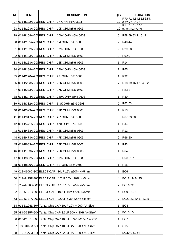| <b>NO</b> | <b>ITEM</b>               | <b>DESCRIPTION</b>                                         | <b>QTY</b>     | <b>LOCATION</b>                           |
|-----------|---------------------------|------------------------------------------------------------|----------------|-------------------------------------------|
|           |                           | 27 011-B102A-200 RES CHIP 1K OHM ±5% 0603                  |                | R70.71.4.54.55.56.57.<br>12 6.42.22.38.72 |
|           | 28 011-B103A-200 RES CHIP | 10K OHM ±5% 0603                                           |                | R1.47.45.46.36.<br>10 37.33.34.35.39      |
|           | 29 011-B104A-200 RES CHIP | 100K OHM ±5% 0603                                          | 6.             | R58.59.53.21.51.2                         |
|           | 30 011-B105A-200 RES CHIP | 1M OHM ±5% 0603                                            | $\mathbf{2}$   | R48.44                                    |
|           | 31 011-B122A-200 RES CHIP | 1.2K OHM ±5% 0603                                          | 2              | R29.28                                    |
|           | 32 011-B123A-200 RES CHIP | 12K OHM ±5% 0603                                           | 2              | R9.40                                     |
|           | 33 011-B153A-200 RES CHIP | 15K OHM ±5% 0603                                           | 1              | R <sub>14</sub>                           |
|           | 34 011-B184A-200 RES CHIP | 180K OHM ±5% 0603                                          | 1              | <b>R65</b>                                |
|           | 35 011-B220A-200 RES CHIP | 22 OHM ±5% 0603                                            | 1              | R32                                       |
|           | 36 011-B223A-200 RES CHIP | 22K OHM ±5% 0603                                           | $\mathbf{7}$   | R18.19.16.17.24.3.25                      |
|           | 37 011-B273A-200 RES CHIP | 27K OHM ±5% 0603                                           | $\overline{2}$ | R8.11                                     |
|           |                           | 38 011-B244A-200 RES CHIP 240K OHM ±5% 0603                | 1.             | R30                                       |
|           |                           | 39 011-B332A-200 RES CHIP 3.3K OHM ±5% 0603                | $2^{\circ}$    | R62.63                                    |
|           |                           | 40 011-B393A-200 RES CHIP 39K OHM ±5% 0603                 | 1.             | IR13                                      |
|           |                           | 41 011-B047A-200 RES CHIP 4.7 OHM ±5% 0603                 | 3              | R67.23.20                                 |
|           | 42 011-B471A-200 RES CHIP | 470 OHM ±5% 0603                                           | 1              | R31                                       |
|           |                           | 43 011-B433A-200 RES CHIP 43K OHM ±5% 0603                 | 1.             | R <sub>12</sub>                           |
|           |                           | 44 011-B473A-200 RES CHIP 47K OHM ±5% 0603                 | $\overline{2}$ | R66.50                                    |
|           |                           | 45 011-B683A-200 RES CHIP 68K OHM ±5% 0603                 | $\mathbf{1}$   | <b>R43</b>                                |
|           |                           | 46 011-B753A-200 RES CHIP 75K OHM ±5% 0603                 | 1.             | <b>R64</b>                                |
|           | 47 011-B822A-200 RES CHIP | 8.2K OHM ±5% 0603                                          | 3              | R60.61.7                                  |
|           |                           | 48 011-B820A-200 RES CHIP 82 OHM ±5% 0603                  | 1.             | <b>R15</b>                                |
|           |                           | 49 012-4106C-300 ELECT CAP 10uF 16V ±20% 4x5mm             | 1              | EC6                                       |
|           |                           | 50 012-4475F-300 ELECT CAP 4.7uF 50V ±20% 4x5mm            | 4              | EC18.19.24.25                             |
|           |                           | 51 012-4476B-300 ELECT CAP 47uF 10V ±20% 4x5mm             | $\overline{2}$ | EC16.22                                   |
|           |                           | 52 012-6107B-300 ELECT CAP 100uF 10V ±20% 5x5mm            | 4              | EC9.8.12.1                                |
|           |                           | 53 012-5227A-300 ELECT CAP 220uF 6.3V ±20% 6x5mm           | 7              | EC21.23.20.17.3.2.5                       |
|           |                           | 54 013-D106L-50A Tantal Chip CAP 10uF 10V +-20% "A-Size"   | 1              | EC <sub>4</sub>                           |
|           |                           | 55 013-D335P-50A Tantal Chip CAP 3.3uF 50V +-20% "A-Size"  | 2              | EC15.10                                   |
|           |                           | 56 013-D107J-50B Tantal Chip CAP 100uF 6.3V +-20% "B-Size" | 1.             | EC7                                       |
|           |                           | 57 013-D107M-50E Tantal Chip CAP 100uF 4V +-20% "B-Size"   | 1.             | C <sub>15</sub>                           |
|           |                           | 58 013-D227M-500 Tantal Chip CAP 220uF 4V +-20% "C-Size"   | 3              | EC30.C51.54                               |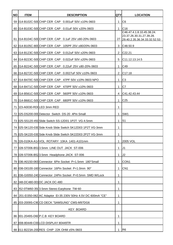| <b>NO</b> | <b>ITEM</b> | <b>DESCRIPTION</b>                                             | <b>QTY</b>     | <b>LOCATION</b>                                                                          |
|-----------|-------------|----------------------------------------------------------------|----------------|------------------------------------------------------------------------------------------|
|           |             | 59 014-B102C-500 CHIP CER CAP 0.001 uF 50V ±10% 0603           | 1              | C <sub>6</sub>                                                                           |
|           |             | 60 014-B103C-500 CHIP CER CAP 0.01 uF 50V ± 20% 0603           | 1.             | C16                                                                                      |
|           |             | 61 014-B104C-500 CHIP CER CAP 0.1uF 25V ±80-20% 0603           |                | C46.47.4.1.8.10.45.38.24.<br>23.37.26.30.31.27.39.28.<br>27 29.40.2.35.36.34.33.32.52.53 |
|           |             | 62 014-B105C-800 CHIP CER CAP 105PF 25V ±80/20% 0603           | 3              | C48.50.9                                                                                 |
|           |             | 63 014-B123C-500 CHIP CER CAP 0.012uF 50V ±20% 0603            | $2^{\circ}$    | C22.21                                                                                   |
|           |             | 64 014-B223C-500 CHIP CER CAP 0.022uF 50V ±20% 0603            | 5.             | C11.12.13.14.5                                                                           |
|           |             | 65 014-B224C-500 CHIP CER CAP 0.22uF 25V ±80-20% 0603          | 1              | C49                                                                                      |
|           |             | 66 014-B272C-500 CHIP CER CAP 0.0027uF 50V ±10% 0603           | $\overline{2}$ | C17.18                                                                                   |
|           |             | 67 014-B470C-500 CHIP CER CAP 47PF 50V ±10% 0603 NPO           | 1              | C <sub>3</sub>                                                                           |
|           |             | 68 014-B471C-500 CHIP CER CAP 470 PF 50 V ± 10% 0603           | 1              | C7                                                                                       |
|           |             | 69 014-B561C-500 CHIP CER CAP 560 PF 50 V ± 10% 0603           | 4              | C41.42.43.44                                                                             |
|           |             | 70 014-B681C-500 CHIP CER CAP 680 PF 50 V ± 10% 0603           | 1              | C <sub>25</sub>                                                                          |
|           |             | 71 023-A0030-RD0LED 3mm RED                                    | 1              |                                                                                          |
|           |             | 72 025-DS200-000 Detector Switch DS-20 4Pin Small              | 1.             | SW <sub>1</sub>                                                                          |
|           |             | 73 025-SS120-450 Slide Switch SS-12D01 1P2T VG-4.5mm           | 1              | S <sub>1</sub>                                                                           |
|           |             | 74 025-SK120-030 Side Knob Slide Switch SK12D03 1P2T VG-3mm    | 1              |                                                                                          |
|           |             | 75 025-SK220-030 Side Knob Slide Switch SK22D03 2P2T VG-3mm    | 1              |                                                                                          |
|           |             | 76 026-010KA-A14VOL ROTARY 10KA 1401-A101mm                    |                | 1 2005 VOL                                                                               |
|           |             | 77 028-ST006-B513.5mm LINE OUT JACK ST-006                     | 1              | J <sub>1</sub>                                                                           |
|           |             | 78 028-ST006-B523.5mm Headphone JACK ST-006                    | 1              | J <sub>2</sub>                                                                           |
|           |             | 79 036-A0150-06S Connector 6Pin Socket P=1.5mm 180°Small       | 1.             | CON <sub>1</sub>                                                                         |
|           |             | 80 036-D0100-160 Connector 16Pin Socket P=1.0mm 90°            | 1              | CN <sub>1</sub>                                                                          |
|           |             | 81 036-G0050-240 Connector 24Pin Socket P=0.5mm SMD W/Lock     | 1              |                                                                                          |
|           |             | 82 048-DC480-001 DC JACK DC-480                                | 1              |                                                                                          |
|           |             | 83 052-0TW60-3503.5mm Stereo Earphone TW-60                    | 1              |                                                                                          |
|           |             | 84 201-EI350-062 AC Adaptor EI-35 230V 50Hz 4.5V DC 600mA "CE" | 1              |                                                                                          |
|           |             | 85 203-2009S-C90CD DECK "SAMSUNG" CMS-M97DG6                   | 1              |                                                                                          |
|           |             | <b>KEY BOARD</b>                                               |                |                                                                                          |
|           |             | 86 001-2049S-D60 P.C.B KEY BOARD                               | 1              |                                                                                          |
| 87        |             | 008-80449-C00LCD DISPLAY 80449TR                               | 1              |                                                                                          |
|           |             | 88 011-B223A-200 RES CHIP 22K OHM ±5% 0603                     | 1              | R <sub>6</sub>                                                                           |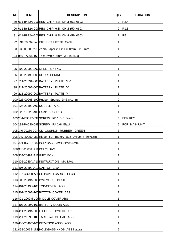| <b>NO</b> | <b>ITEM</b>                | <b>DESCRIPTION</b>                                       | <b>QTY</b>     | <b>LOCATION</b>      |
|-----------|----------------------------|----------------------------------------------------------|----------------|----------------------|
|           |                            | 89 011-B472A-200 RES CHIP 4.7K OHM ±5% 0603              | $\overline{2}$ | R <sub>2.4</sub>     |
|           |                            | 90 011-B682A-200 RES CHIP 6.8K OHM ±5% 0603              | $\overline{2}$ | R1.3                 |
|           |                            | 91 011-B822A-200 RES CHIP 8.2K OHM ±5% 0603              | 1              | R <sub>5</sub>       |
|           |                            | 92 031-20394-240 24P FPC Flexible Cable                  | 1              |                      |
|           |                            | 93 038-00300-20B Zebra Paper 20Pin L=30mm P=1.0mm        | 1              |                      |
|           |                            | 94 050-TA005-16P Tact Switch 6mm W/Pin 250g              | $\overline{7}$ |                      |
|           |                            |                                                          |                |                      |
|           |                            | 95 209-21000-S00 OPEN SPRING                             | 1              |                      |
|           |                            | 96 209-20490-P00 DOOR SPRING                             | 1              |                      |
|           |                            | 97 211-2009A-000 BATTERY PLATE "+.-"                     | 1              |                      |
|           |                            | 98 211-2009B-000 BATTERY PLATE "-"                       | 1              |                      |
|           |                            | 99 211-2009C-000 BATTERY PLATE "+"                       | 1              |                      |
|           |                            | 100 225-00068-100 Rubber Sponge D=6.8x1mm                | 2              |                      |
|           |                            | 101 225-20490-A00 DOUBLE-TAPE                            | 1              |                      |
|           |                            | 102 225-10020-A00 LAMP BUSHING                           | 1              |                      |
|           |                            | 103234-KB017-03B SCREW KB 1.7x3 Black                    | $\overline{4}$ | <b>FOR KEY</b>       |
|           |                            | 104234-PA020-08BSCREW PA 2x8 Black                       | 6              | <b>FOR MAIN UNIT</b> |
|           |                            | 105240-20280-0GNCD CUSHION RUBBER GREEN                  | 3              |                      |
|           |                            | 106 247-20050-080 Ribbon For Battery Box L=80mm 80x6.5mm | 1              |                      |
|           |                            | 107 301-0C067-080 POLYBAG 6-3/4x8"T=0.04mm               | 1              |                      |
|           | 108 303-2008A-A10 POLYFOAM |                                                          | 1              |                      |
|           | 109 304-2049A-A10 GIFT BOX |                                                          | 1              |                      |
|           |                            | 110 305-2049A-A10 INSTRUCTION MANUAL                     | 1              |                      |
|           |                            | 111 306-20490-A10 CARTON 1/10                            | 1              |                      |
|           |                            | 112B07-CD020-A00CD PAPER CARD FOR CD                     | 1              |                      |
|           |                            | 113 308-2049A-000 PVC MODEL PLATE                        | 1              |                      |
|           |                            | 114 401-2049 B-100 TOP-COVER ABS                         | 1              |                      |
|           |                            | 115 401-2009 B-100 BOTTOM-COVER ABS                      | 1              |                      |
|           |                            | 116401-2009M-100 MIDDLE-COVER ABS                        | 1              |                      |
|           |                            | 117 407-2009A-100 BATTERY DOOR ABS                       | 1              |                      |
|           |                            | 118 411-2049A-500 LCD-LENS PVC CLEAR                     | 1              |                      |
|           |                            | 119411-2009F-100 TACT-SWITCH-CAP ABS                     | 1              |                      |
|           |                            | 120 458-2049 C-100 KEY-KNOB ASS'Y ABS                    | 1              |                      |
|           |                            | 121 458-2006B-1NL HOLD/BASS KNOB ABS Natural             | $\overline{2}$ |                      |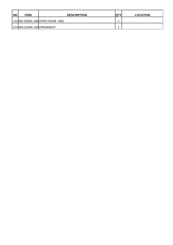| <b>NO</b> | <b>TEM</b>                 | <b>DESCRIPTION</b>            | $\mathsf{QT}^\vee$ | <b>LOCATION</b> |
|-----------|----------------------------|-------------------------------|--------------------|-----------------|
|           |                            | 122459-2009A-1BKOPEN KNOB ABS |                    |                 |
|           | 123 483-2049A-100 ORNAMENT |                               |                    |                 |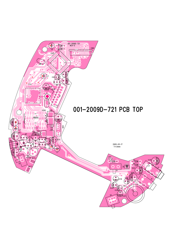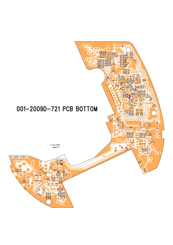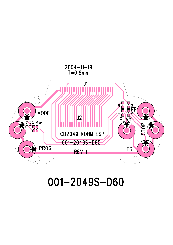

## 001-2049S-D60